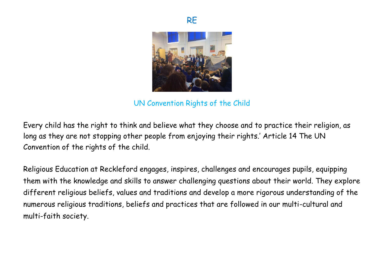



UN Convention Rights of the Child

Every child has the right to think and believe what they choose and to practice their religion, as long as they are not stopping other people from enjoying their rights.' Article 14 The UN Convention of the rights of the child.

Religious Education at Reckleford engages, inspires, challenges and encourages pupils, equipping them with the knowledge and skills to answer challenging questions about their world. They explore different religious beliefs, values and traditions and develop a more rigorous understanding of the numerous religious traditions, beliefs and practices that are followed in our multi-cultural and multi-faith society.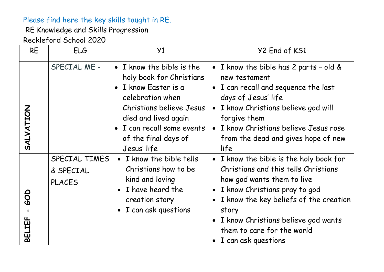## Please find here the key skills taught in RE.

RE Knowledge and Skills Progression

Reckleford School 2020

| <b>RE</b>          | ELG                                         | Y1                                                                                                                                                                                                                                | Y2 End of KS1                                                                                                                                                                                                                                                                                       |
|--------------------|---------------------------------------------|-----------------------------------------------------------------------------------------------------------------------------------------------------------------------------------------------------------------------------------|-----------------------------------------------------------------------------------------------------------------------------------------------------------------------------------------------------------------------------------------------------------------------------------------------------|
| SALVATION          | SPECIAL ME -                                | I know the bible is the<br>$\bullet$<br>holy book for Christians<br>I know Easter is a<br>celebration when<br>Christians believe Jesus<br>died and lived again<br>I can recall some events<br>of the final days of<br>Jesus' life | • I know the bible has 2 parts - old $\&$<br>new testament<br>• I can recall and sequence the last<br>days of Jesus' life<br>I know Christians believe god will<br>$\bullet$<br>forgive them<br>I know Christians believe Jesus rose<br>from the dead and gives hope of new<br>life                 |
| LIEF<br><b>DEI</b> | SPECIAL TIMES<br>& SPECIAL<br><b>PLACES</b> | • I know the bible tells<br>Christians how to be<br>kind and loving<br>• I have heard the<br>creation story<br>• I can ask questions                                                                                              | • I know the bible is the holy book for<br>Christians and this tells Christians<br>how god wants them to live<br>· I know Christians pray to god<br>• I know the key beliefs of the creation<br>story<br>• I know Christians believe god wants<br>them to care for the world<br>I can ask questions |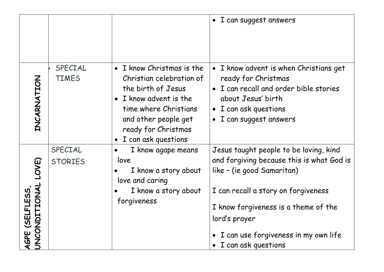|                                                   |                           |                                                                                                                                                                                                                            | I can suggest answers<br>$\bullet$                                                                                                                                                                                                                                                            |
|---------------------------------------------------|---------------------------|----------------------------------------------------------------------------------------------------------------------------------------------------------------------------------------------------------------------------|-----------------------------------------------------------------------------------------------------------------------------------------------------------------------------------------------------------------------------------------------------------------------------------------------|
| ZOHTAZAKUZH                                       | SPECIAL<br><b>TIMES</b>   | I know Christmas is the<br>$\bullet$<br>Christian celebration of<br>the birth of Jesus<br>I know advent is the<br>$\bullet$<br>time where Christians<br>and other people get<br>ready for Christmas<br>I can ask questions | • I know advent is when Christians get<br>ready for Christmas<br>I can recall and order bible stories<br>$\bullet$<br>about Jesus' birth<br>I can ask questions<br>$\bullet$<br>I can suggest answers<br>$\bullet$                                                                            |
| LOVE)<br>AGPE (SELFLESS,<br>UNCONDITIONAL<br>AGPE | SPECIAL<br><b>STORIES</b> | I know agape means<br>$\bullet$<br>love<br>I know a story about<br>love and caring<br>I know a story about<br>forgiveness                                                                                                  | Jesus taught people to be loving, kind<br>and forgiving because this is what God is<br>like - (ie good Samaritan)<br>I can recall a story on forgiveness<br>I know forgiveness is a theme of the<br>lord's prayer<br>I can use forgiveness in my own life<br>$\bullet$<br>I can ask questions |